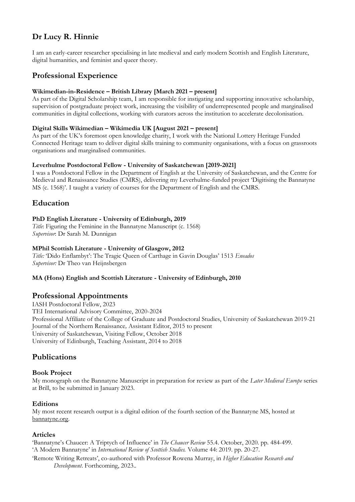# **Dr Lucy R. Hinnie**

I am an early-career researcher specialising in late medieval and early modern Scottish and English Literature, digital humanities, and feminist and queer theory.

# **Professional Experience**

#### **Wikimedian-in-Residence – British Library [March 2021 – present]**

As part of the Digital Scholarship team, I am responsible for instigating and supporting innovative scholarship, supervision of postgraduate project work, increasing the visibility of underrepresented people and marginalised communities in digital collections, working with curators across the institution to accelerate decolonisation.

### **Digital Skills Wikimedian – Wikimedia UK [August 2021 – present]**

As part of the UK's foremost open knowledge charity, I work with the National Lottery Heritage Funded Connected Heritage team to deliver digital skills training to community organisations, with a focus on grassroots organisations and marginalised communities.

### **Leverhulme Postdoctoral Fellow - University of Saskatchewan [2019-2021]**

I was a Postdoctoral Fellow in the Department of English at the University of Saskatchewan, and the Centre for Medieval and Renaissance Studies (CMRS), delivering my Leverhulme-funded project 'Digitising the Bannatyne MS (c. 1568)'. I taught a variety of courses for the Department of English and the CMRS.

# **Education**

### **PhD English Literature - University of Edinburgh, 2019**

*Title*: Figuring the Feminine in the Bannatyne Manuscript (c. 1568) *Supervisor*: Dr Sarah M. Dunnigan

### **MPhil Scottish Literature - University of Glasgow, 2012**

*Title:* 'Dido Enflambyt': The Tragic Queen of Carthage in Gavin Douglas' 1513 *Eneados Supervisor:* Dr Theo van Heijnsbergen

#### **MA (Hons) English and Scottish Literature - University of Edinburgh, 2010**

## **Professional Appointments**

IASH Postdoctoral Fellow, 2023 TEI International Advisory Committee, 2020-2024 Professional Affiliate of the College of Graduate and Postdoctoral Studies, University of Saskatchewan 2019-21 Journal of the Northern Renaissance*,* Assistant Editor, 2015 to present University of Saskatchewan, Visiting Fellow, October 2018 University of Edinburgh, Teaching Assistant, 2014 to 2018

## **Publications**

### **Book Project**

My monograph on the Bannatyne Manuscript in preparation for review as part of the *Later Medieval Europe* series at Brill, to be submitted in January 2023.

### **Editions**

My most recent research output is a digital edition of the fourth section of the Bannatyne MS, hosted at [bannatyne.org.](http://bannatyne.org/)

### **Articles**

'Bannatyne's Chaucer: A Triptych of Influence' in *The Chaucer Review* 55.4. October, 2020. pp. 484-499. 'A Modern Bannatyne' in *International Review of Scottish Studies.* Volume 44: 2019. pp. 20-27.

'Remote Writing Retreats', co-authored with Professor Rowena Murray, in *Higher Education Research and Development*. Forthcoming, 2023..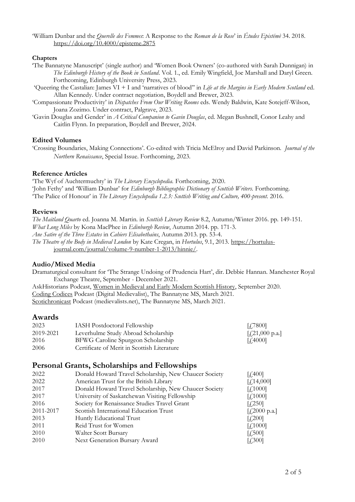'William Dunbar and the *Querelle des Femmes*: A Response to the *Roman de la Rose*' in *Études Epistémè* 34. 2018. <https://doi.org/10.4000/episteme.2875>

### **Chapters**

- 'The Bannatyne Manuscript' (single author) and 'Women Book Owners' (co-authored with Sarah Dunnigan) in *The Edinburgh History of the Book in Scotland*. Vol. 1., ed. Emily Wingfield, Joe Marshall and Daryl Green. Forthcoming, Edinburgh University Press, 2023.
- 'Queering the Castalian: James VI + I and 'narratives of blood'' in *Life at the Margins in Early Modern Scotland* ed. Allan Kennedy. Under contract negotiation, Boydell and Brewer, 2023.
- 'Compassionate Productivity' in *Dispatches From Our Writing Rooms* eds. Wendy Baldwin, Kate Sotejeff-Wilson, Joana Zozimo. Under contract, Palgrave, 2023.
- 'Gavin Douglas and Gender' in *A Critical Companion to Gavin Douglas*, ed. Megan Bushnell, Conor Leahy and Caitlin Flynn. In preparation, Boydell and Brewer, 2024.

### **Edited Volumes**

'Crossing Boundaries, Making Connections'. Co-edited with Tricia McElroy and David Parkinson. *Journal of the Northern Renaissance*, Special Issue. Forthcoming, 2023.

### **Reference Articles**

'The Wyf of Auchtermuchty' in *The Literary Encyclopedia.* Forthcoming, 2020. 'John Fethy' and 'William Dunbar' for *Edinburgh Bibliographic Dictionary of Scottish Writers.* Forthcoming. 'The Palice of Honour' in *The Literary Encyclopedia 1.2.3: Scottish Writing and Culture, 400-present.* 2016.

#### **Reviews**

*The Maitland Quarto* ed. Joanna M. Martin. in *Scottish Literary Review* 8.2, Autumn/Winter 2016. pp. 149-151. *What Long Miles* by Kona MacPhee in *Edinburgh Review*, Autumn 2014. pp. 171-3. *Ane Satire of the Three Estates* in *Cahiers Elisabethains*, Autumn 2013. pp. 53-4. *The Theatre of the Body in Medieval London* by Kate Cregan, in *Hortulus*, 9.1, 2013. [https://hortulus](https://hortulus-journal.com/journal/volume-9-number-1-2013/hinnie/)[journal.com/journal/volume-9-number-1-2013/hinnie/.](https://hortulus-journal.com/journal/volume-9-number-1-2013/hinnie/)

#### **Audio/Mixed Media**

Dramaturgical consultant for 'The Strange Undoing of Prudencia Hart', dir. Debbie Hannan. Manchester Royal Exchange Theatre, September - December 2021.

AskHistorians Podcast, [Women in Medieval](https://askhistorians.libsyn.com/askhistorians-podcast-episode-164-women-in-medieval-and-early-modern-scottish-history) [and Early Modern Scottish History,](https://askhistorians.libsyn.com/askhistorians-podcast-episode-164-women-in-medieval-and-early-modern-scottish-history) September 2020. [Coding Codices](https://podcast.digitalmedievalist.org/) Podcast (Digital Medievalist), The Bannatyne MS, March 2021. [Scotichronicast](https://podcasts.apple.com/us/podcast/scotichronicast/id1518726285) Podcast (medievalists.net), The Bannatyne MS, March 2021.

### **Awards**

| 2023      | <b>IASH</b> Postdoctoral Fellowship         | [4.7800]                             |
|-----------|---------------------------------------------|--------------------------------------|
| 2019-2021 | Leverhulme Study Abroad Scholarship         | [ $\text{\textsterling}21,000$ p.a.] |
| 2016      | BFWG Caroline Spurgeon Scholarship          | [4000]                               |
| 2006      | Certificate of Merit in Scottish Literature |                                      |

## **Personal Grants, Scholarships and Fellowships**

| 2022      | Donald Howard Travel Scholarship, New Chaucer Society | $[4.400]$               |
|-----------|-------------------------------------------------------|-------------------------|
| 2022      | American Trust for the British Library                | $[f]$ 14,000]           |
| 2017      | Donald Howard Travel Scholarship, New Chaucer Society | [f, 1000]               |
| 2017      | University of Saskatchewan Visiting Fellowship        | [f, 1000]               |
| 2016      | Society for Renaissance Studies Travel Grant          | [£250]                  |
| 2011-2017 | Scottish International Education Trust                | $[4,2000 \text{ p.a.}]$ |
| 2013      | Huntly Educational Trust                              | [£200]                  |
| 2011      | Reid Trust for Women                                  | [f,1000]                |
| 2010      | Walter Scott Bursary                                  | [£,500]                 |
| 2010      | Next Generation Bursary Award                         | $[$ . $[$ . $]$ 300]    |
|           |                                                       |                         |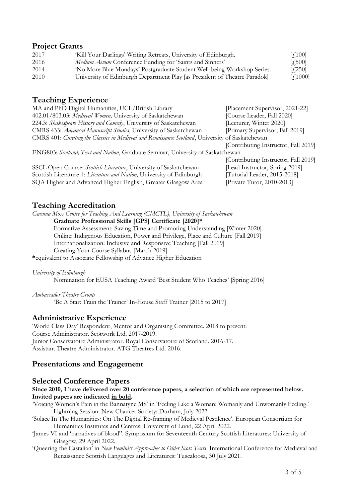## **Project Grants**

| 2017 | 'Kill Your Darlings' Writing Retreats, University of Edinburgh.           | $\lbrack \text{f.100}\rbrack$ |
|------|---------------------------------------------------------------------------|-------------------------------|
| 2016 | Medium Aevum Conference Funding for 'Saints and Sinners'                  | $[$ $\sqrt{500}]$             |
| 2014 | 'No More Blue Mondays' Postgraduate Student Well-being Workshop Series.   | $[$ . $\pm$ 250]              |
| 2010 | University of Edinburgh Department Play [as President of Theatre Paradok] | [4,1000]                      |

## **Teaching Experience**

| [Placement Supervisor, 2021-22]                                                                  |  |  |  |
|--------------------------------------------------------------------------------------------------|--|--|--|
| [Course Leader, Fall 2020]                                                                       |  |  |  |
| [Lecturer, Winter 2020]                                                                          |  |  |  |
| [Primary Supervisor, Fall 2019]                                                                  |  |  |  |
| CMRS 401: Curating the Classics in Medieval and Renaissance Scotland, University of Saskatchewan |  |  |  |
| [Contributing Instructor, Fall 2019]                                                             |  |  |  |
| ENG803: Scotland, Text and Nation, Graduate Seminar, University of Saskatchewan                  |  |  |  |
| [Contributing Instructor, Fall 2019]                                                             |  |  |  |
| [Lead Instructor, Spring 2019]                                                                   |  |  |  |
| [Tutorial Leader, 2015-2018]                                                                     |  |  |  |
| Private Tutor, 2010-2013]                                                                        |  |  |  |
|                                                                                                  |  |  |  |

## **Teaching Accreditation**

*Gwenna Moss Centre for Teaching And Learning (GMCTL), University of Saskatchewan*

**Graduate Professional Skills [GPS] Certificate [2020]\***

Formative Assessment: Saving Time and Promoting Understanding [Winter 2020] Online: Indigenous Education, Power and Privilege, Place and Culture [Fall 2019] Internationalization: Inclusive and Responsive Teaching [Fall 2019] Creating Your Course Syllabus [March 2019]

**\***equivalent to Associate Fellowship of Advance Higher Education

*University of Edinburgh*

Nomination for EUSA Teaching Award 'Best Student Who Teaches' [Spring 2016]

*Ambassador Theatre Group* 

'Be A Star: Train the Trainer' In-House Staff Trainer [2015 to 2017]

# **Administrative Experience**

'World Class Day' Respondent, Mentor and Organising Committee. 2018 to present. Course Administrator. Scotwork Ltd. 2017-2019. Junior Conservatoire Administrator. Royal Conservatoire of Scotland. 2016-17. Assistant Theatre Administrator. ATG Theatres Ltd. 2016.

# **Presentations and Engagement**

## **Selected Conference Papers**

#### **Since 2010, I have delivered over 20 conference papers, a selection of which are represented below. Invited papers are indicated in bold.**

- *'*Voicing Women's Pain in the Bannatyne MS' in 'Feeling Like a Woman: Womanly and Unwomanly Feeling.' Lightning Session. New Chaucer Society: Durham, July 2022.
- 'Solace In The Humanities: On The Digital Re-framing of Medieval Pestilence'. European Consortium for Humanities Institutes and Centres: University of Lund, 22 April 2022.
- 'James VI and 'narratives of blood''. Symposium for Seventeenth Century Scottish Literatures: University of Glasgow, 29 April 2022.
- 'Queering the Castalian' in *New Feminist Approaches to Older Scots Texts*. International Conference for Medieval and Renaissance Scottish Languages and Literatures: Tuscaloosa, 30 July 2021.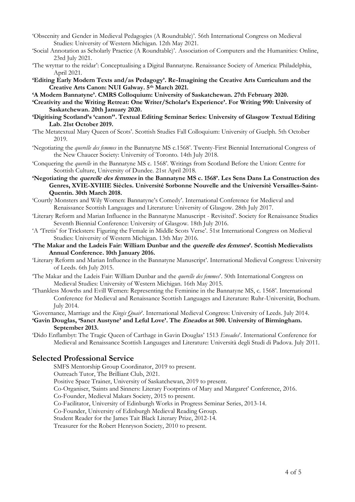- 'Obscenity and Gender in Medieval Pedagogies (A Roundtable)'. 56th International Congress on Medieval Studies: University of Western Michigan. 12th May 2021.
- 'Social Annotation as Scholarly Practice (A Roundtable)'. Association of Computers and the Humanities: Online, 23rd July 2021.
- 'The wryttar to the reidar': Conceptualising a Digital Bannatyne. Renaissance Society of America: Philadelphia, April 2021.
- **'Editing Early Modern Texts and/as Pedagogy'. Re-Imagining the Creative Arts Curriculum and the Creative Arts Canon: NUI Galway. 5th March 2021.**
- **'A Modern Bannatyne'. CMRS Colloquium: University of Saskatchewan. 27th February 2020.**
- **'Creativity and the Writing Retreat: One Writer/Scholar's Experience'. For Writing 990: University of Saskatchewan. 20th January 2020.**
- **'Digitising Scotland's 'canon''. Textual Editing Seminar Series: University of Glasgow Textual Editing Lab. 21st October 2019.**
- 'The Metatextual Mary Queen of Scots'. Scottish Studies Fall Colloquium: University of Guelph. 5th October 2019.
- 'Negotiating the *querelle des femmes* in the Bannatyne MS c.1568'. Twenty-First Biennial International Congress of the New Chaucer Society: University of Toronto. 14th July 2018.
- 'Conquering the *querelle* in the Bannatyne MS c. 1568'. Writings from Scotland Before the Union: Centre for Scottish Culture, University of Dundee. 21st April 2018.
- **'Negotiating the querelle des femmes in the Bannatyne MS c. 1568'. Les Sens Dans La Construction des Genres, XVIE-XVIIIE Siècles. Université Sorbonne Nouvelle and the Universitè Versailles-Saint-Quentin. 30th March 2018.**
- 'Courtly Monsters and Wily Women: Bannatyne's Comedy'. International Conference for Medieval and Renaissance Scottish Languages and Literature: University of Glasgow. 28th July 2017.
- 'Literary Reform and Marian Influence in the Bannatyne Manuscript Revisited'. Society for Renaissance Studies Seventh Biennial Conference: University of Glasgow. 18th July 2016.
- 'A 'Tretis' for Tricksters: Figuring the Female in Middle Scots Verse'. 51st International Congress on Medieval Studies: University of Western Michigan. 13th May 2016.
- **'The Makar and the Ladeis Fair: William Dunbar and the querelle des femmes'. Scottish Medievalists Annual Conference. 10th January 2016.**
- 'Literary Reform and Marian Influence in the Bannatyne Manuscript'. International Medieval Congress: University of Leeds. 6th July 2015.
- 'The Makar and the Ladeis Fair: William Dunbar and the *querelle des femmes*'. 50th International Congress on Medieval Studies: University of Western Michigan. 16th May 2015.
- 'Thankless Mowths and Evill Wemen: Representing the Feminine in the Bannatyne MS, c. 1568'. International Conference for Medieval and Renaissance Scottish Languages and Literature: Ruhr-Universität, Bochum. July 2014.

'Governance, Marriage and the *Kingis Quair*'. International Medieval Congress: University of Leeds. July 2014.

- **'Gavin Douglas, 'Sanct Austyne' and Leful Love'. The Eneados at 500. University of Birmingham. September 2013.**
- 'Dido Enflambyt: The Tragic Queen of Carthage in Gavin Douglas' 1513 *Eneados*'. International Conference for Medieval and Renaissance Scottish Languages and Literature: Università degli Studi di Padova. July 2011.

### **Selected Professional Service**

SMFS Mentorship Group Coordinator, 2019 to present.

Outreach Tutor, The Brilliant Club, 2021.

Positive Space Trainer, University of Saskatchewan, 2019 to present.

Co-Organiser, 'Saints and Sinners: Literary Footprints of Mary and Margaret' Conference, 2016.

Co-Founder, Medieval Makars Society, 2015 to present.

Co-Facilitator, University of Edinburgh Works in Progress Seminar Series, 2013-14.

Co-Founder, University of Edinburgh Medieval Reading Group.

Student Reader for the James Tait Black Literary Prize, 2012-14.

Treasurer for the Robert Henryson Society, 2010 to present.